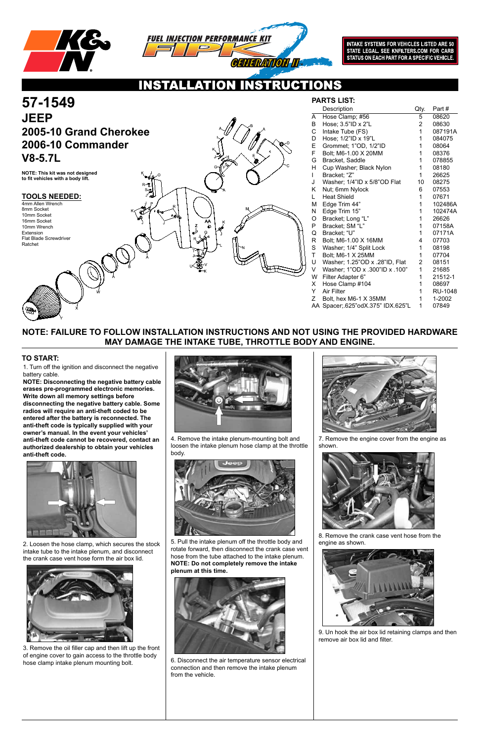



INTAKE SYSTEMS FOR VEHICLES LISTED ARE 50<br>STATE LEGAL. SEE KNFILTERS.COM FOR CARB<br>STATUS ON EACH PART FOR A SPECIFIC VEHICLE.

## ONS

Z

AA

#### **TOOLS NEEDED:**

## **NOTE: FAILURE TO FOLLOW INSTALLATION INSTRUCTIONS AND NOT USING THE PROVIDED HARDWARE MAY DAMAGE THE INTAKE TUBE, THROTTLE BODY AND ENGINE.**

**PARTS LIST:**

1. Turn off the ignition and disconnect the negative battery cable.

# **57-1549 JEEP 2005-10 Grand Cherokee 2006-10 Commander V8-5.7L**

**NOTE: Disconnecting the negative battery cable erases pre-programmed electronic memories. Write down all memory settings before disconnecting the negative battery cable. Some radios will require an anti-theft coded to be entered after the battery is reconnected. The anti-theft code is typically supplied with your owner's manual. In the event your vehicles' anti-theft code cannot be recovered, contact an authorized dealership to obtain your vehicles anti-theft code.**



en the hose clamp, which secures the stock



### **TO START:**

**NOTE: This kit was not designed to fit vehicles with a body lift.**

4mm Allen Wrench 8mm Socket 10mm Socket 16mm Socket 10mm Wrench Extension Flat Blade Screwdriver Ratchet

|             | Description                       | Qty. | Part#          |
|-------------|-----------------------------------|------|----------------|
| A           | Hose Clamp; #56                   | 5    | 08620          |
| B           | Hose; 3.5"ID x 2"L                | 2    | 08630          |
| С           | Intake Tube (FS)                  | 1    | 087191A        |
| D           | Hose; 1/2"ID x 19"L               | 1    | 084075         |
| E.          | Grommet; 1"OD, 1/2"ID             | 1    | 08064          |
| F.          | Bolt; M6-1.00 X 20MM              | 1    | 08376          |
| G           | Bracket, Saddle                   | 1    | 078855         |
| H           | Cup Washer; Black Nylon           | 1    | 08180          |
| L           | Bracket; "Z"                      | 1    | 26625          |
| J           | Washer; 1/4"ID x 5/8"OD Flat      | 10   | 08275          |
| Κ           | Nut; 6mm Nylock                   | 6    | 07553          |
| L.          | <b>Heat Shield</b>                | 1    | 07671          |
| М           | Edge Trim 44"                     | 1    | 102486A        |
| N           | Edge Trim 15"                     | 1    | 102474A        |
| Ο.          | Bracket; Long "L"                 | 1    | 26626          |
| P.          | Bracket; SM "L"                   | 1    | 07158A         |
| Q           | Bracket; "U"                      | 1    | 07171A         |
| R.          | Bolt; M6-1.00 X 16MM              | 4    | 07703          |
| S           | Washer; 1/4" Split Lock           | 1    | 08198          |
| $\mathsf T$ | Bolt; M6-1 X 25MM                 | 1    | 07704          |
| U           | Washer; 1.25"OD x .28"ID, Flat    | 2    | 08151          |
| V           | Washer; 1"OD x .300"ID x .100"    | 1    | 21685          |
| W           | Filter Adapter 6"                 | 1    | 21512-1        |
| X.          | Hose Clamp #104                   | 1    | 08697          |
| Y.          | <b>Air Filter</b>                 | 1    | <b>RU-1048</b> |
| Z.          | Bolt, hex M6-1 X 35MM             | 1    | 1-2002         |
|             | AA Spacer; 625"odX.375" IDX.625"L | 1    | 07849          |
|             |                                   |      |                |

intake tube to the intake plenum, and disconnect the crank case vent hose form the air box lid.



3. Remove the oil filler cap and then lift up the front of engine cover to gain access to the throttle body hose clamp intake plenum mounting bolt.

4. Remove the intake plenum-mounting bolt and loosen the intake plenum hose clamp at the throttle body.



5. Pull the intake plenum off the throttle body and

rotate forward, then disconnect the crank case vent hose from the tube attached to the intake plenum. **NOTE: Do not completely remove the intake plenum at this time.**



6. Disconnect the air temperature sensor electrical connection and then remove the intake plenum from the vehicle.





7. Remove the engine cover from the engine as shown.



8. Remove the crank case vent hose from the engine as shown.

9. Un hook the air box lid retaining clamps and then remove air box lid and filter.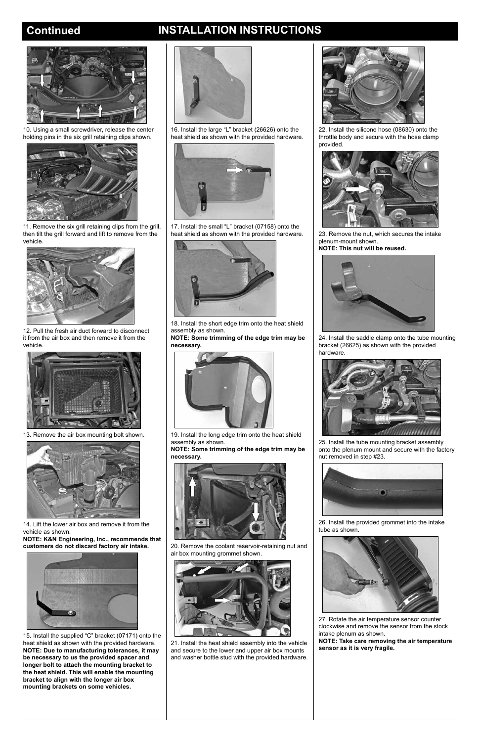## **Continued INSTALLATION INSTRUCTIONS**



10. Using a small screwdriver, release the center holding pins in the six grill retaining clips shown.



11. Remove the six grill retaining clips from the grill, then tilt the grill forward and lift to remove from the vehicle.



12. Pull the fresh air duct forward to disconnect it from the air box and then remove it from the vehicle.



13. Remove the air box mounting bolt shown.



14. Lift the lower air box and remove it from the vehicle as shown.

**NOTE: K&N Engineering, Inc., recommends that** 

#### **customers do not discard factory air intake.**



15. Install the supplied "C" bracket (07171) onto the heat shield as shown with the provided hardware. **NOTE: Due to manufacturing tolerances, it may be necessary to us the provided spacer and longer bolt to attach the mounting bracket to the heat shield. This will enable the mounting bracket to align with the longer air box mounting brackets on some vehicles.**



16. Install the large "L" bracket (26626) onto the heat shield as shown with the provided hardware.



17. Install the small "L" bracket (07158) onto the heat shield as shown with the provided hardware.



18. Install the short edge trim onto the heat shield assembly as shown.

**NOTE: Some trimming of the edge trim may be necessary.**



19. Install the long edge trim onto the heat shield assembly as shown.

**NOTE: Some trimming of the edge trim may be necessary.**



20. Remove the coolant reservoir-retaining nut and air box mounting grommet shown.



21. Install the heat shield assembly into the vehicle and secure to the lower and upper air box mounts and washer bottle stud with the provided hardware.





22. Install the silicone hose (08630) onto the throttle body and secure with the hose clamp provided.



23. Remove the nut, which secures the intake plenum-mount shown.

**NOTE: This nut will be reused.**



24. Install the saddle clamp onto the tube mounting bracket (26625) as shown with the provided hardware.



25. Install the tube mounting bracket assembly onto the plenum mount and secure with the factory nut removed in step #23.



26. Install the provided grommet into the intake tube as shown.

27. Rotate the air temperature sensor counter clockwise and remove the sensor from the stock intake plenum as shown.

**NOTE: Take care removing the air temperature sensor as it is very fragile.**